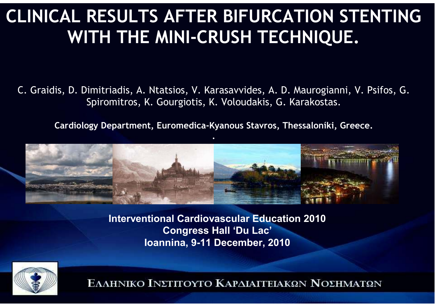## **CLINICAL RESULTS AFTER BIFURCATION STENTING WITH THE MINI-CRUSH TECHNIQUE.**

C. Graidis, D. Dimitriadis, A. Ntatsios, V. Karasavvides, A. D. Maurogianni, V. Psifos, G. Spiromitros, K. Gourgiotis, K. Voloudakis, G. Karakostas.

**Cardiology Department, Euromedica-Kyanous Stavros, Thessaloníki, Greece.**

**.**



**Interventional Cardiovascular Education 2010Congress Hall 'Du Lac'Ioannina, 9-11 December, 2010**

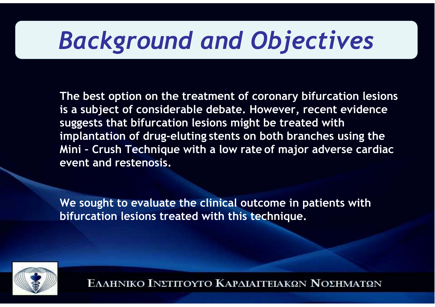# *Background and Objectives*

**The best option on the treatment of coronary bifurcation lesions is a subject of considerable debate. However, recent evidencesuggests that bifurcation lesions might be treated with implantation of drug-eluting stents on both branches using the Mini – Crush Technique with a low rate of major adverse cardiac event and restenosis.**

**We sought to evaluate the clinical outcome in patients with bifurcation lesions treated with this technique.**

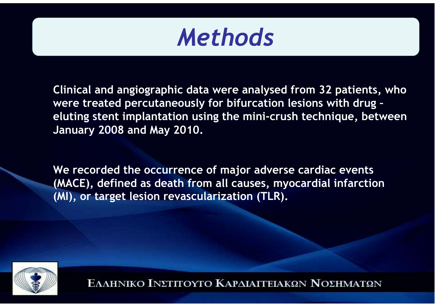

**Clinical and angiographic data were analysed from 32 patients, who were treated percutaneously for bifurcation lesions with drug – eluting stent implantation using the mini-crush technique, between January 2008 and May 2010.**

**We recorded the occurrence of major adverse cardiac events (MACE), defined as death from all causes, myocardial infarction (MI), or target lesion revascularization (TLR).** 

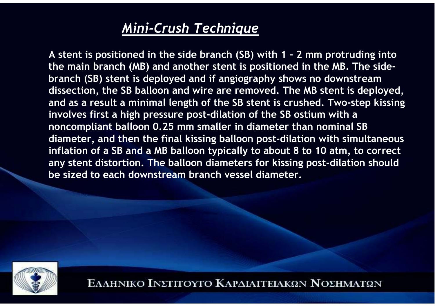### *Mini-Crush Technique*

**A stent is positioned in the side branch (SB) with 1 – 2 mm protruding into the main branch (MB) and another stent is positioned in the MB. The sidebranch (SB) stent is deployed and if angiography shows no downstream dissection, the SB balloon and wire are removed. The MB stent is deployed, and as a result a minimal length of the SB stent is crushed. Two-step kissing involves first a high pressure post-dilation of the SB ostium with a noncompliant balloon 0.25 mm smaller in diameter than nominal SB diameter, and then the final kissing balloon post-dilation with simultaneous inflation of a SB and a MB balloon typically to about 8 to 10 atm, to correct any stent distortion. The balloon diameters for kissing post-dilation should be sized to each downstream branch vessel diameter.**

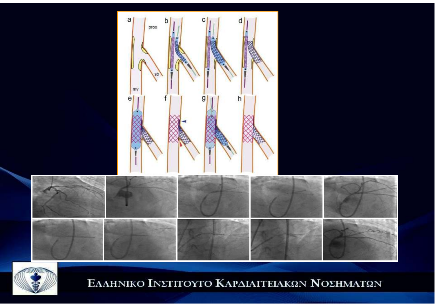

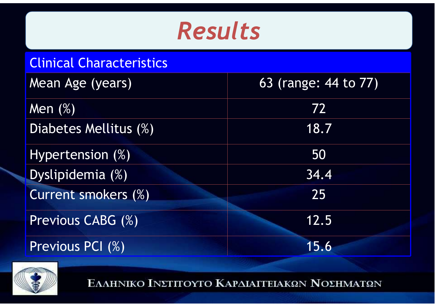## *Results*

| <b>Clinical Characteristics</b> |                      |
|---------------------------------|----------------------|
| Mean Age (years)                | 63 (range: 44 to 77) |
| Men $(\%)$                      | 72                   |
| Diabetes Mellitus (%)           | 18.7                 |
| Hypertension (%)                | 50                   |
| Dyslipidemia (%)                | 34.4                 |
| Current smokers (%)             | 25                   |
| Previous CABG (%)               | 12.5                 |
| Previous PCI (%)                | 15.6                 |

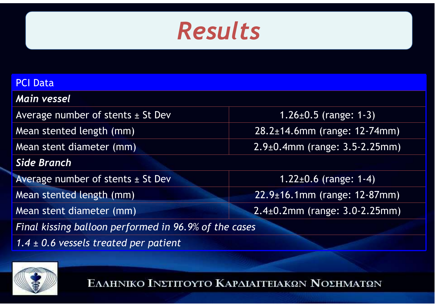

#### PCI Data

| Main vessel                                           |                                       |
|-------------------------------------------------------|---------------------------------------|
| Average number of stents $\pm$ St Dev                 | $1.26 \pm 0.5$ (range: 1-3)           |
| Mean stented length (mm)                              | 28.2±14.6mm (range: 12-74mm)          |
| Mean stent diameter (mm)                              | $2.9\pm0.4$ mm (range: 3.5-2.25mm)    |
| Side Branch                                           |                                       |
| Average number of stents $\pm$ St Dev                 | $1.22 \pm 0.6$ (range: 1-4)           |
| Mean stented length (mm)                              | $22.9 \pm 16.1$ mm (range: 12-87mm)   |
| Mean stent diameter (mm)                              | $2.4\pm0.2$ mm (range: $3.0-2.25$ mm) |
| Final kissing balloon performed in 96.9% of the cases |                                       |
| 1.4 $\pm$ 0.6 vessels treated per patient             |                                       |

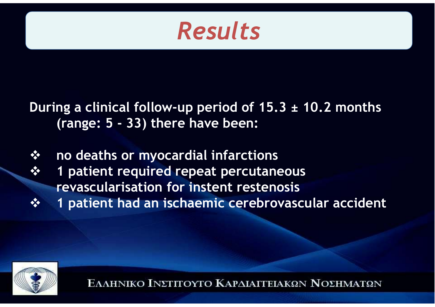

**During a clinical follow-up period of 15.3 ± 10.2 months (range: 5 - 33) there have been:**

- $\bullet$ **no deaths or myocardial infarctions**
- $\frac{1}{2}$  **1 patient required repeat percutaneous revascularisation for instent restenosis**
- $\frac{1}{2}$ **1 patient had an ischaemic cerebrovascular accident**